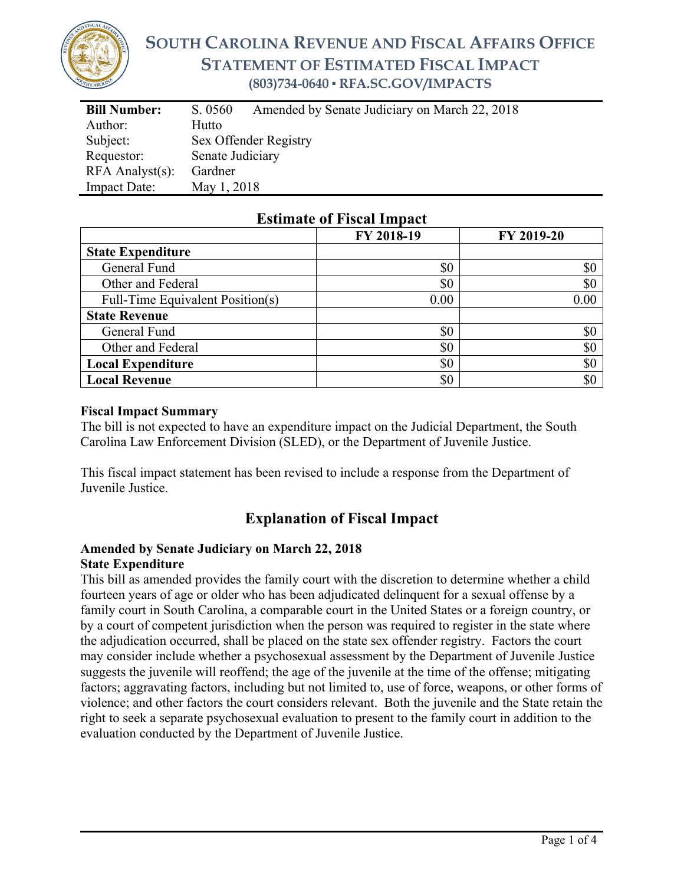

# **SOUTH CAROLINA REVENUE AND FISCAL AFFAIRS OFFICE STATEMENT OF ESTIMATED FISCAL IMPACT (803)734-0640 ▪ RFA.SC.GOV/IMPACTS**

| <b>Bill Number:</b>   | Amended by Senate Judiciary on March 22, 2018<br>S. 0560 |  |  |
|-----------------------|----------------------------------------------------------|--|--|
| Author:               | Hutto                                                    |  |  |
| Subject:              | Sex Offender Registry                                    |  |  |
| Requestor:            | Senate Judiciary                                         |  |  |
| $RFA$ Analyst $(s)$ : | Gardner                                                  |  |  |
| <b>Impact Date:</b>   | May 1, 2018                                              |  |  |

## **Estimate of Fiscal Impact**

|                                  | FY 2018-19 | FY 2019-20 |
|----------------------------------|------------|------------|
| <b>State Expenditure</b>         |            |            |
| General Fund                     | \$0        | \$0        |
| Other and Federal                | \$0        | \$0        |
| Full-Time Equivalent Position(s) | 0.00       | 0.00       |
| <b>State Revenue</b>             |            |            |
| General Fund                     | \$0        | \$0        |
| Other and Federal                | \$0        | \$0        |
| <b>Local Expenditure</b>         | \$0        | \$0        |
| <b>Local Revenue</b>             | \$0        | \$0        |

#### **Fiscal Impact Summary**

The bill is not expected to have an expenditure impact on the Judicial Department, the South Carolina Law Enforcement Division (SLED), or the Department of Juvenile Justice.

This fiscal impact statement has been revised to include a response from the Department of Juvenile Justice.

## **Explanation of Fiscal Impact**

#### **Amended by Senate Judiciary on March 22, 2018 State Expenditure**

This bill as amended provides the family court with the discretion to determine whether a child fourteen years of age or older who has been adjudicated delinquent for a sexual offense by a family court in South Carolina, a comparable court in the United States or a foreign country, or by a court of competent jurisdiction when the person was required to register in the state where the adjudication occurred, shall be placed on the state sex offender registry. Factors the court may consider include whether a psychosexual assessment by the Department of Juvenile Justice suggests the juvenile will reoffend; the age of the juvenile at the time of the offense; mitigating factors; aggravating factors, including but not limited to, use of force, weapons, or other forms of violence; and other factors the court considers relevant. Both the juvenile and the State retain the right to seek a separate psychosexual evaluation to present to the family court in addition to the evaluation conducted by the Department of Juvenile Justice.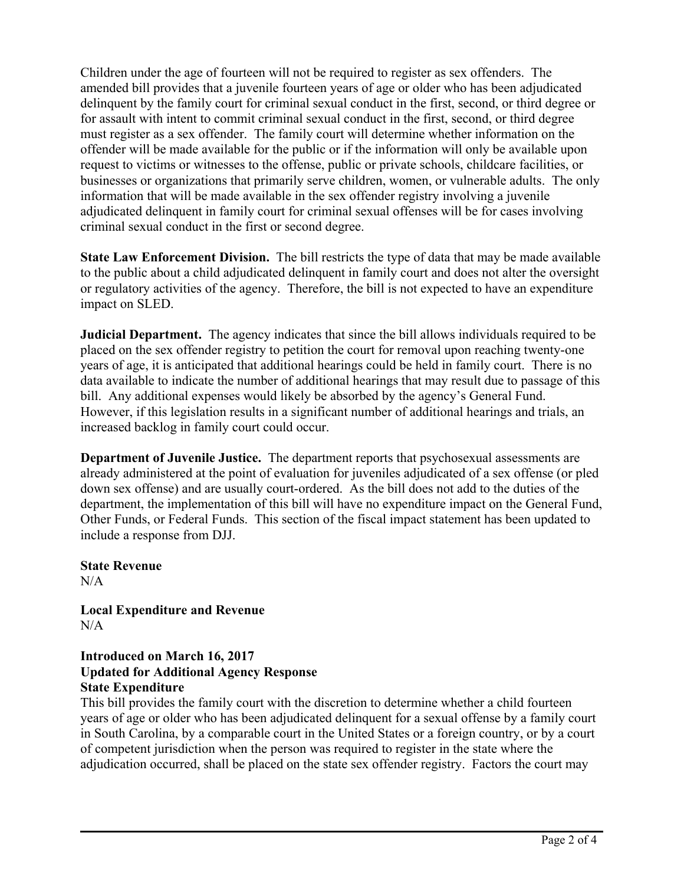Children under the age of fourteen will not be required to register as sex offenders. The amended bill provides that a juvenile fourteen years of age or older who has been adjudicated delinquent by the family court for criminal sexual conduct in the first, second, or third degree or for assault with intent to commit criminal sexual conduct in the first, second, or third degree must register as a sex offender. The family court will determine whether information on the offender will be made available for the public or if the information will only be available upon request to victims or witnesses to the offense, public or private schools, childcare facilities, or businesses or organizations that primarily serve children, women, or vulnerable adults. The only information that will be made available in the sex offender registry involving a juvenile adjudicated delinquent in family court for criminal sexual offenses will be for cases involving criminal sexual conduct in the first or second degree.

**State Law Enforcement Division.** The bill restricts the type of data that may be made available to the public about a child adjudicated delinquent in family court and does not alter the oversight or regulatory activities of the agency. Therefore, the bill is not expected to have an expenditure impact on SLED.

**Judicial Department.** The agency indicates that since the bill allows individuals required to be placed on the sex offender registry to petition the court for removal upon reaching twenty-one years of age, it is anticipated that additional hearings could be held in family court. There is no data available to indicate the number of additional hearings that may result due to passage of this bill. Any additional expenses would likely be absorbed by the agency's General Fund. However, if this legislation results in a significant number of additional hearings and trials, an increased backlog in family court could occur.

**Department of Juvenile Justice.** The department reports that psychosexual assessments are already administered at the point of evaluation for juveniles adjudicated of a sex offense (or pled down sex offense) and are usually court-ordered.As the bill does not add to the duties of the department, the implementation of this bill will have no expenditure impact on the General Fund, Other Funds, or Federal Funds. This section of the fiscal impact statement has been updated to include a response from DJJ.

**State Revenue**   $N/A$ 

**Local Expenditure and Revenue**   $N/A$ 

### **Introduced on March 16, 2017 Updated for Additional Agency Response State Expenditure**

This bill provides the family court with the discretion to determine whether a child fourteen years of age or older who has been adjudicated delinquent for a sexual offense by a family court in South Carolina, by a comparable court in the United States or a foreign country, or by a court of competent jurisdiction when the person was required to register in the state where the adjudication occurred, shall be placed on the state sex offender registry. Factors the court may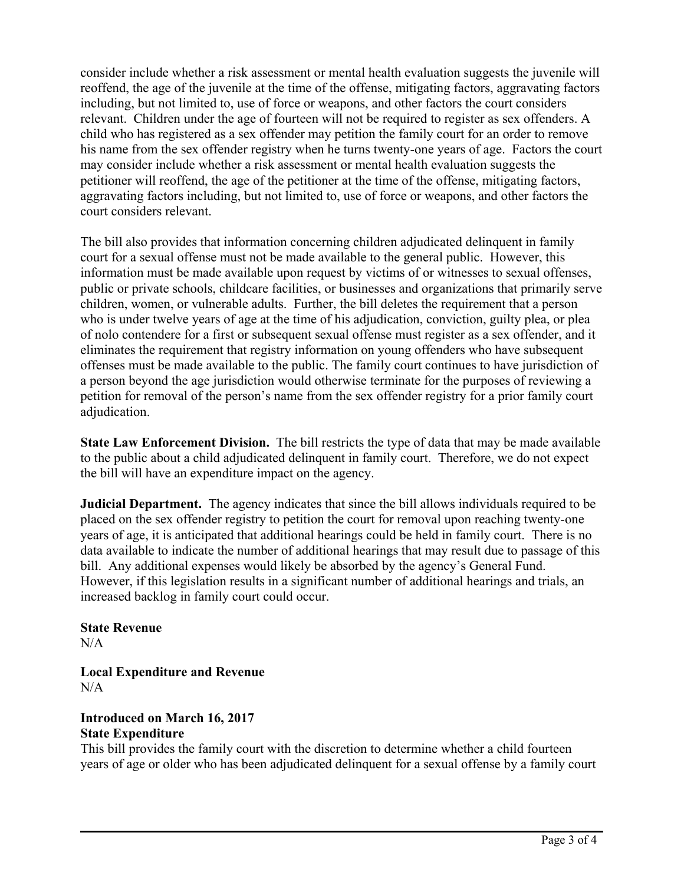consider include whether a risk assessment or mental health evaluation suggests the juvenile will reoffend, the age of the juvenile at the time of the offense, mitigating factors, aggravating factors including, but not limited to, use of force or weapons, and other factors the court considers relevant. Children under the age of fourteen will not be required to register as sex offenders. A child who has registered as a sex offender may petition the family court for an order to remove his name from the sex offender registry when he turns twenty-one years of age. Factors the court may consider include whether a risk assessment or mental health evaluation suggests the petitioner will reoffend, the age of the petitioner at the time of the offense, mitigating factors, aggravating factors including, but not limited to, use of force or weapons, and other factors the court considers relevant.

The bill also provides that information concerning children adjudicated delinquent in family court for a sexual offense must not be made available to the general public. However, this information must be made available upon request by victims of or witnesses to sexual offenses, public or private schools, childcare facilities, or businesses and organizations that primarily serve children, women, or vulnerable adults. Further, the bill deletes the requirement that a person who is under twelve years of age at the time of his adjudication, conviction, guilty plea, or plea of nolo contendere for a first or subsequent sexual offense must register as a sex offender, and it eliminates the requirement that registry information on young offenders who have subsequent offenses must be made available to the public. The family court continues to have jurisdiction of a person beyond the age jurisdiction would otherwise terminate for the purposes of reviewing a petition for removal of the person's name from the sex offender registry for a prior family court adjudication.

**State Law Enforcement Division.** The bill restricts the type of data that may be made available to the public about a child adjudicated delinquent in family court. Therefore, we do not expect the bill will have an expenditure impact on the agency.

**Judicial Department.** The agency indicates that since the bill allows individuals required to be placed on the sex offender registry to petition the court for removal upon reaching twenty-one years of age, it is anticipated that additional hearings could be held in family court. There is no data available to indicate the number of additional hearings that may result due to passage of this bill. Any additional expenses would likely be absorbed by the agency's General Fund. However, if this legislation results in a significant number of additional hearings and trials, an increased backlog in family court could occur.

#### **State Revenue**   $N/A$

**Local Expenditure and Revenue**  N/A

### **Introduced on March 16, 2017 State Expenditure**

This bill provides the family court with the discretion to determine whether a child fourteen years of age or older who has been adjudicated delinquent for a sexual offense by a family court